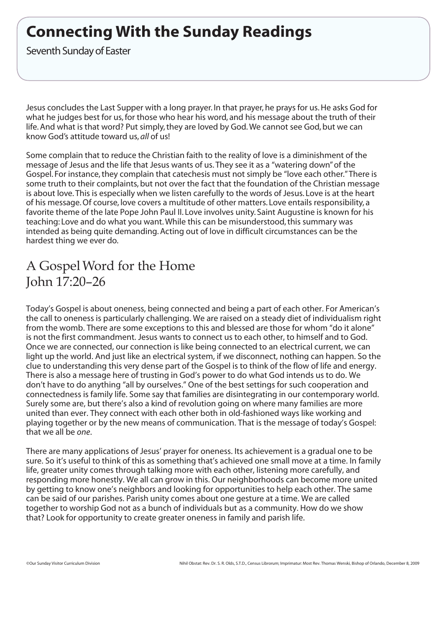# **Connecting With the Sunday Readings**

Seventh Sunday of Easter

Jesus concludes the Last Supper with a long prayer. In that prayer, he prays for us.He asks God for what he judges best for us,for those who hear his word, and his message about the truth of their life.And what is that word? Put simply, they are loved by God.We cannot see God, but we can know God's attitude toward us, *all* of us!

Some complain that to reduce the Christian faith to the reality of love is a diminishment of the message of Jesus and the life that Jesus wants of us. They see it as a "watering down" of the Gospel. For instance, they complain that catechesis must not simply be "love each other."There is some truth to their complaints, but not over the fact that the foundation of the Christian message is about love. This is especially when we listen carefully to the words of Jesus. Love is at the heart of his message.Of course, love covers a multitude of other matters. Love entails responsibility, a favorite theme of the late Pope John Paul II. Love involves unity. Saint Augustine is known for his teaching: Love and do what you want.While this can be misunderstood, this summary was intended as being quite demanding.Acting out of love in difficult circumstances can be the hardest thing we ever do.

## A GospelWord for the Home John 17:20–26

Today's Gospel is about oneness, being connected and being a part of each other. For American's the call to oneness is particularly challenging. We are raised on a steady diet of individualism right from the womb. There are some exceptions to this and blessed are those for whom "do it alone" is not the first commandment. Jesus wants to connect us to each other, to himself and to God. Once we are connected, our connection is like being connected to an electrical current, we can light up the world. And just like an electrical system, if we disconnect, nothing can happen. So the clue to understanding this very dense part of the Gospel is to think of the flow of life and energy. There is also a message here of trusting in God's power to do what God intends us to do. We don't have to do anything "all by ourselves." One of the best settings for such cooperation and connectedness is family life. Some say that families are disintegrating in our contemporary world. Surely some are, but there's also a kind of revolution going on where many families are more united than ever. They connect with each other both in old-fashioned ways like working and playing together or by the new means of communication. That is the message of today's Gospel: that we all be *one*.

There are many applications of Jesus' prayer for oneness. Its achievement is a gradual one to be sure. So it's useful to think of this as something that's achieved one small move at a time. In family life, greater unity comes through talking more with each other, listening more carefully, and responding more honestly. We all can grow in this. Our neighborhoods can become more united by getting to know one's neighbors and looking for opportunities to help each other. The same can be said of our parishes. Parish unity comes about one gesture at a time. We are called together to worship God not as a bunch of individuals but as a community. How do we show that? Look for opportunity to create greater oneness in family and parish life.